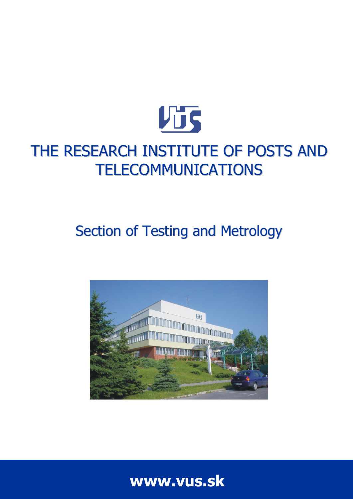

# THE RESEARCH INSTITUTE OF POSTS AND TELECOMMUNICATIONS

# Section of Testing and Metrology



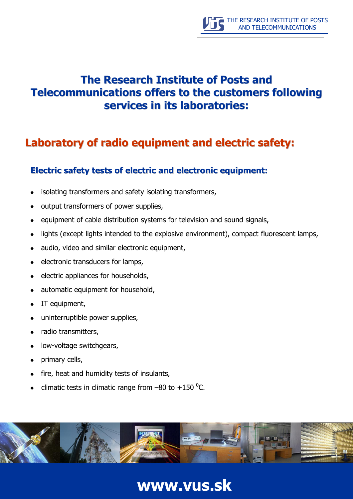### **The Research Institute of Posts and Telecommunications offers to the customers following services in its laboratories:**

### **Laboratory of radio equipment and electric safety:**

#### **Electric safety tests of electric and electronic equipment:**

- isolating transformers and safety isolating transformers,  $\bullet$
- output transformers of power supplies,
- equipment of cable distribution systems for television and sound signals,
- lights (except lights intended to the explosive environment), compact fluorescent lamps,
- audio, video and similar electronic equipment,
- electronic transducers for lamps,  $\bullet$
- electric appliances for households,  $\bullet$
- automatic equipment for household,  $\bullet$
- IT equipment,  $\bullet$
- uninterruptible power supplies,  $\bullet$
- radio transmitters,
- low-voltage switchgears,  $\bullet$
- primary cells,
- fire, heat and humidity tests of insulants,
- climatic tests in climatic range from  $-80$  to  $+150$  <sup>o</sup>C.

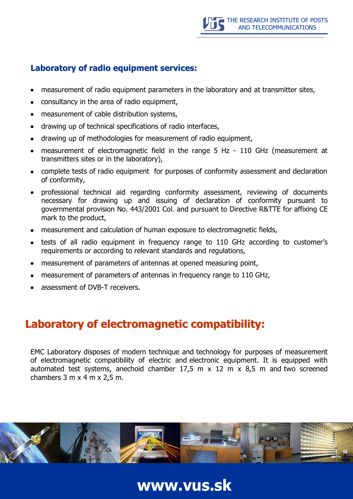#### **Laboratory of radio equipment services:**

- measurement of radio equipment parameters in the laboratory and at transmitter sites,
- consultancy in the area of radio equipment,
- measurement of cable distribution systems,
- drawing up of technical specifications of radio interfaces,
- drawing up of methodologies for measurement of radio equipment,
- measurement of electromagnetic field in the range 5 Hz 110 GHz (measurement at transmitters sites or in the laboratory),
- complete tests of radio equipment for purposes of conformity assessment and declaration of conformity,
- professional technical aid regarding conformity assessment, reviewing of documents necessary for drawing up and issuing of declaration of conformity pursuant to governmental provision No. 443/2001 Col. and pursuant to Directive R&TTE for affixing CE mark to the product,
- measurement and calculation of human exposure to electromagnetic fields,
- tests of all radio equipment in frequency range to 110 GHz according to customer's  $\bullet$ requirements or according to relevant standards and regulations,
- measurement of parameters of antennas at opened measuring point,
- measurement of parameters of antennas in frequency range to 110 GHz,
- assessment of DVB-T receivers.

### **Laboratory of electromagnetic compatibility:**

EMC Laboratory disposes of modern technique and technology for purposes of measurement of electromagnetic compatibility of electric and electronic equipment. It is equipped with automated test systems, anechoid chamber  $17.5$  m  $\times$  12 m  $\times$  8.5 m and two screened chambers  $3 \text{ m} \times 4 \text{ m} \times 2.5 \text{ m}$ .

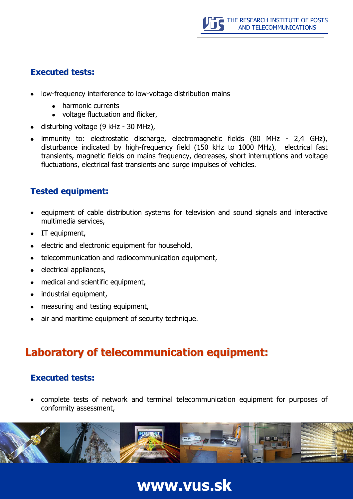#### **Executed tests:**

- low-frequency interference to low-voltage distribution mains
	- harmonic currents
	- voltage fluctuation and flicker,
- disturbing voltage (9 kHz 30 MHz),
- immunity to: electrostatic discharge, electromagnetic fields (80 MHz 2,4 GHz), disturbance indicated by high-frequency field (150 kHz to 1000 MHz), electrical fast transients, magnetic fields on mains frequency, decreases, short interruptions and voltage fluctuations, electrical fast transients and surge impulses of vehicles.

#### **Tested equipment:**

- equipment of cable distribution systems for television and sound signals and interactive multimedia services,
- IT equipment,
- electric and electronic equipment for household,
- telecommunication and radiocommunication equipment,  $\bullet$
- electrical appliances,
- medical and scientific equipment,  $\bullet$
- industrial equipment,  $\bullet$
- measuring and testing equipment,
- air and maritime equipment of security technique.

### **Laboratory of telecommunication equipment:**

#### **Executed tests:**

complete tests of network and terminal telecommunication equipment for purposes of conformity assessment,

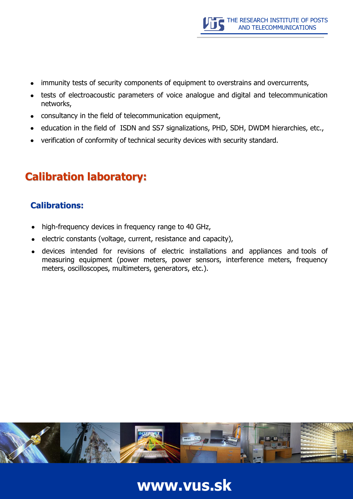- immunity tests of security components of equipment to overstrains and overcurrents,
- tests of electroacoustic parameters of voice analogue and digital and telecommunication networks,
- consultancy in the field of telecommunication equipment,
- education in the field of ISDN and SS7 signalizations, PHD, SDH, DWDM hierarchies, etc.,
- verification of conformity of technical security devices with security standard.

## **Calibration laboratory:**

#### **Calibrations:**

- high-frequency devices in frequency range to 40 GHz,
- electric constants (voltage, current, resistance and capacity),
- devices intended for revisions of electric installations and appliances and tools of measuring equipment (power meters, power sensors, interference meters, frequency meters, oscilloscopes, multimeters, generators, etc.).